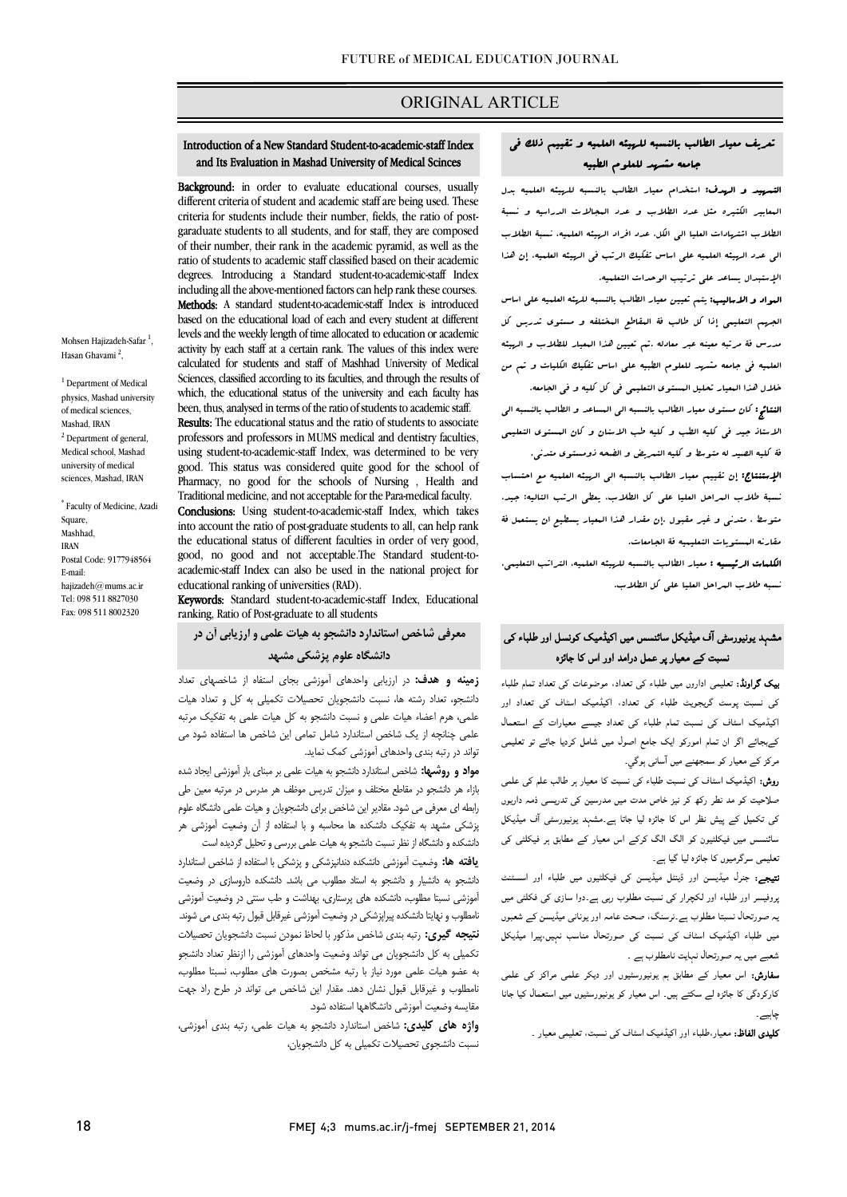## ORIGINAL ARTICLE

# تعریف معیار الطالب بالنسبه للهیئه العلمیه و تقییم ذلک فی جامعه مشهد للعلوم الطبیه

Ī

 التمهید و الهدف: استخدام معیار الطالب بالنسبه للهیئه العلمیه بدل المعابیر الکثیره مثل عدد الطلاب و عدد المجالات الدراسیه و نسبۀ الطلاب اشتهادات العلیا الی الکل، عدد افراد الهیئه العلمیه، نسبۀ الطلاب الی عدد الهیئه العلمیه علی اساس تفکیک الرتب فی الهیئه العلمیه، إن هذا الإستبدال یساعد علی ترتیب الوحدات التعلمیه.

 المواد و الاسالیب: یتم تعیین معیار الطالب بالنسبه للهئه العلمیه علی اساس الجهم التعلیمی إذا کل طالب فۀ المقاطع المختلفه و مستوي تدریس کل مدرس فۀ مرتبه معینه عبر معادله .تم تعیین هذا المعیار للطلاب و الهیئه العلمیه فی جامعه مشهد للعلوم الطبیه علی اساس تفکیک الکلیات و تم من

 خلال هذا المعیار تحلیل المستوي التعلیمی فی کل کلیه و فی الجامعه. النتائج: کان مستوي معیار الطالب بالنسبه الی المساعد و الطالب بالنسبه الی الاستاذ جید فی کلیه الطب و کلیه طب الاسنان و کان المستوي التعلیمی فۀ کلیه الصید له متوسط و کلیه التمریض و الضحه ذومستوي متدنی. الإستنتاج: إن تقییم معیار الطالب بالنسبه الی الهیئه العلمیه مع احتساب نسبۀ طلاب المراحل العلیا علی کل الطلاب، یعطی الرتب التالیه: جید، متوسط ، متدنی و غیر مقبول .إن مقدار هذا المعیار یسطیع ان یستعمل فۀ

 مقارنه المستویات التعلیمیه فۀ الجامعات. الکلمات الرئیسیه : معیار الطالب بالنسبه للهیئه العلمیه، التراتب التعلیمی،

نسبه طلاب المراحل العلیا علی کل الطلاب.

# مشہد یونیورسٹی آف میڈیکل سائنسس میں اکیڈمیک کونسل اور طلباء کی سبت کے معیار پر عمل درامد اور اس کا جائزہ<br>۔

**یپک گراونڈ:** تعلیمی اداروں میں طلباء کی تعداد، موضوعات کی تعداد تمام طلباء کی نسبت پوسٹ گریجویٹ طلباء کی تعداد، اکیڈمیک اسٹاف کی تعداد اور اکیڈمیک اسٹاف کی نسبت تمام طلباء کی تعداد جیسے معیارات کے استعمال کےبجائے اگر ان تمام امورکو ایک جامع اصول میں شامل کردیا جائے تو تعلیمی مرکز کے معیار کو سمجھنے میں آسانی ہوگي۔

ر**وش:** اکیڈمیک اسٹاف کی نسبت طلباء کی نسبت کا معیار ہر طالب علم کی علمی<br>۔ ر ص ت ر ر ذ دارں ں ہے ۔<br>نعلیمی سرگرمیوں کا جائزہ لیا گیا ہے۔ کی تکمیل کے پیش نظر اس کا جائزہ لیا جاتا ہے۔مشہد یونیورسٹی آف میڈیکل سائنسس میں فیکلٹیون کو الگ الگ کرکے اس معیار کے مطابق ہر فیکلٹی کی

۔ ل سے سے سے سے سے سے سے سے ہے۔<br>**تتیجے:** جنرل میڈیسن اور ڈینٹل میڈیسن کی فیکلٹیوں میں طلباء اور اسسٹنٹ ۔<br><sub>ب</sub>روفیسر اور طلباء اور لکچرار کی نسبت مطلوب رہی ہے۔دوا سازی کی فکلٹی میں <sub>۔</sub><br>بہ صورتحال نسبتا مطلوب ہے۔نرسنگ، صحت عامہ اور یونانی میڈیسن کے شعبوں میں طلباء اکیڈمیک اسٹاف کی نسبت کی صورتحال مناسب نہیں،پیرا میڈیکل شعبے میں یہ صورتحال نہایت نامطلوب ہے ۔

**سفارش:** اس معیار کے مطابق ہم یونیورسٹیوں اور دیکر علمی مراکز کی علمی کارکردگی کا جائزہ لے سکتے ہیں۔ اس معیار کو یونیورسٹیوں میں استعمال کیا جانا چاہیے ۔

**کلیدی الفاظ:** معیار،طلباء اور اکیڈمیک اسٹاف کی نسبت، تعلیمی معیار <sub>-</sub>

#### ֚֡֡֕ and Its Evaluation in Mashad University of Medical Scinces Introduction of a New Standard Student-to-academic-staff Index

Ī

Background: in order to evaluate educational courses, usually criteria for students include their number, fields, the ratio of post- garaduate students to all students, and for staff, they are composed of their number, their ratik in the academic pyramid, as wen as the ratio of students to academic staff classified based on their academic degrees. Introducing a Standard student-to-academic-staff Index including all the above-mentioned factors can help rank these courses. based on the educational load of each and every student at different levels and the weekly length of time allocated to education or academic calculated for students and staff of Mashhad University of Medical Sciences, classified according to its faculties, and through the results of which, the educational status of the university and each faculty has Results: The educational status and the ratio of students to associate different criteria of student and academic staff are being used. These of their number, their rank in the academic pyramid, as well as the Methods: A standard student-to-academic-staff Index is introduced activity by each staff at a certain rank. The values of this index were been, thus, analysed in terms of the ratio of students to academic staff.

 professors and professors in MUMS medical and dentistry faculties, using student-to-academic-staff Index, was determined to be very Pharmacy, no good for the schools of Nursing , Health and Traditional medicine, and not acceptable for the Para-medical faculty. into account the ratio of post-graduate students to all, can help rank the educational status of different faculties in order of very good, good, no good and not acceptable.The Standard student-togood. This status was considered quite good for the school of Conclusions: Using student-to-academic-staff Index, which takes academic-staff Index can also be used in the national project for educational ranking of universities (RAD).

 Keywords: Standard student-to-academic-staff Index, Educational ranking, Ratio of Post-graduate to all students

 دانشگاه علوم پزشکی مشهد معرفی شاخص استاندارد دانشجو به هیات علمی و ارزیابی آن در

 زمینه و هدف: در ارزیابی واحدهاي آموزشی بجاي استفاه از شاخصهاي تعداد دانشجو، تعداد رشته ها، نسبت دانشجویان تحصیلات تکمیلی به کل و تعداد هیات علمی در استانسیات علمی و تسبب عاملیتر با این شیاب علمی با استفاده شود می<br>علمی چنانچه از یک شاخص استاندارد شامل تمامی این شاخص ها استفاده شود می تواند در رتبه بندي واحدهاي آموزشی کمک نماید. علمی، هرم اعضاء هیات علمی و نسبت دانشجو به کل هیات علمی به تفکیک مرتبه

**مواد و روشها:** شاخص استاندارد دانشجو به هیات علمی بر مبنای بار آموزشی ایجاد شده بازاء هر دانشجو در مقاطع مختلف و میزان تدریس موظف هر مدرس در مرتبه معین طی رابطه اي معرفی می شود. مقادیر این شاخص براي دانشجویان و هیات علمی دانشگاه علوم پزشکی مشهد به تفکیک دانشکده ها محاسبه و با استفاده از آن وضعیت آموزشی هر دانشکده و دانشگاه از نظر نسبت دانشجو به هیات علمی بررسی و تحلیل گردیده است

**یافته ها:** وضعیت آموزشی دانشکده دندانپزشکی و پزشکی با استفاده از شاخص استاندارد<br>. آموزشی نسبتا مطلوب، دانشکده هاي پرستاري، بهداشت و طب سنتی در وضعیت آموزشی نامطلوب و نهایتا دانشکده پیراپزشکی در وضعیت آموزشی غیرقابل قبول رتبه بندي می شوند. نتیجه گیري: رتبه بندي شاخص مذکور با لحاظ نمودن نسبت دانشجویان تحصیلات تکمیلی به کل دانشجویان می تواند وضعیت واحدهاي آموزشی را ازنظر تعداد دانشجو به عضو هیات علمی مورد نیاز با رتبه مشخص بصورت هاي مطلوب، نسبتا مطلوب، نامطلوب و غیرقابل قبول نشان دهد. مقدار این شاخص می تواند در طرح راد جهت مقایسه وضعیت آموزشی دانشگاهها استفاده شود. دانشجو به دانشیار و دانشجو به استاد مطلوب می باشد. دانشکده داروسازي در وضعیت

 واژه هاي کلیدي: شاخص استاندارد دانشجو به هیات علمی، رتبه بندي آموزشی، نسبت دانشجوي تحصیلات تکمیلی به کل دانشجویان،

Mohsen Hajizadeh-Safar <sup>1</sup>, Hasan Ghavami <sup>2</sup>,

<sup>1</sup> Department of Medical physics, Mashad university of medical sciences, Mashad, IRAN <sup>2</sup> Department of general Medical school, Mashad university of medical sciences, Mashad, IRAN

\* Faculty of Medicine, Azadi Square, Mashhad, IRAN Postal Code: 9177948564 E-mail: hajizadeh@mums.ac.ir Tel: 098 511 8827030 Fax: 098 511 8002320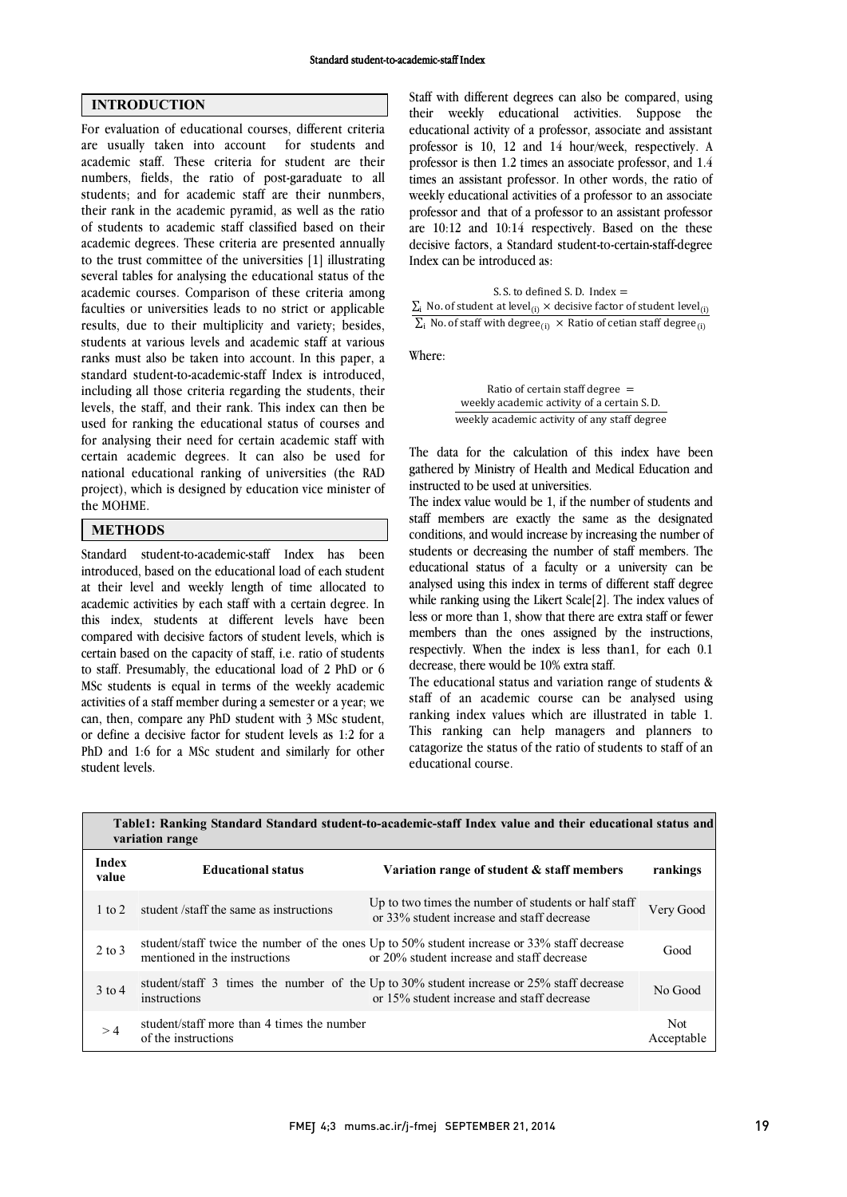## INTRODUCTION

For evaluation of educational courses, different criteria are usually taken into account for students and academic staff. These criteria for student are their numbers, fields, the ratio of post-garaduate to all students; and for academic staff are their nunmbers, their rank in the academic pyramid, as well as the ratio of students to academic staff classified based on their academic degrees. These criteria are presented annually to the trust committee of the universities [1] illustrating several tables for analysing the educational status of the academic courses. Comparison of these criteria among faculties or universities leads to no strict or applicable results, due to their multiplicity and variety; besides, students at various levels and academic staff at various ranks must also be taken into account. In this paper, a standard student-to-academic-staff Index is introduced, including all those criteria regarding the students, their levels, the staff, and their rank. This index can then be used for ranking the educational status of courses and for analysing their need for certain academic staff with certain academic degrees. It can also be used for national educational ranking of universities (the RAD project), which is designed by education vice minister of the MOHME.

## **METHODS**

Standard student-to-academic-staff Index has been introduced, based on the educational load of each student at their level and weekly length of time allocated to academic activities by each staff with a certain degree. In this index, students at different levels have been compared with decisive factors of student levels, which is certain based on the capacity of staff, i.e. ratio of students to staff. Presumably, the educational load of 2 PhD or 6 MSc students is equal in terms of the weekly academic activities of a staff member during a semester or a year; we can, then, compare any PhD student with 3 MSc student, or define a decisive factor for student levels as 1:2 for a PhD and 1:6 for a MSc student and similarly for other student levels.

 Staff with different degrees can also be compared, using their weekly educational activities. Suppose the educational activity of a professor, associate and assistant professor is 10, 12 and 14 hour/week, respectively. A times an assistant professor. In other words, the ratio of weekly educational activities of a professor to an associate professor and that of a professor to an assistant professor are 10:12 and 10:14 respectively. Based on the these Index can be introduced as: professor is then 1.2 times an associate professor, and 1.4 decisive factors, a Standard student-to-certain-staff-degree

 $\Sigma_i$  No. of staff with degree $_{(i)}$  × Ratio of cetian staff degree $_{(i)}$ S. S. to defined S. D. Index  $=$  $\Sigma_i$  No. of student at level<sub>(i)</sub>  $\times$  decisive factor of student level<sub>(i)</sub>

Where:

Ratio of certain staff degree  $=$ weekly academic activity of a certain S.D. weekly academic activity of any staff degree

 gathered by Ministry of Health and Medical Education and instructed to be used at universities. The data for the calculation of this index have been

 The index value would be 1, if the number of students and staff members are exactly the same as the designated students or decreasing the number of staff members. The educational status of a faculty or a university can be analysed using this index in terms of different staff degree while ranking using the Likert Scale[2]. The index values of less or more than 1, show that there are extra staff or fewer respectivly. When the index is less than1, for each 0.1 decrease, there would be 10% extra staff. conditions, and would increase by increasing the number of members than the ones assigned by the instructions,

 The educational status and variation range of students & ranking index values which are illustrated in table 1. This ranking can help managers and planners to catagorize the status of the ratio of students to staff of an educational course. staff of an academic course can be analysed using

|                   | variation range                                                   | Table1: Ranking Standard Standard student-to-academic-staff Index value and their educational status and                                  |                          |
|-------------------|-------------------------------------------------------------------|-------------------------------------------------------------------------------------------------------------------------------------------|--------------------------|
| Index<br>value    | <b>Educational status</b>                                         | Variation range of student & staff members                                                                                                | rankings                 |
| $1 \text{ to } 2$ | student /staff the same as instructions                           | Up to two times the number of students or half staff<br>or 33% student increase and staff decrease                                        | Very Good                |
| $2$ to $3$        | mentioned in the instructions                                     | student/staff twice the number of the ones Up to 50% student increase or 33% staff decrease<br>or 20% student increase and staff decrease | Good                     |
| $3$ to 4          | instructions                                                      | student/staff 3 times the number of the Up to 30% student increase or 25% staff decrease<br>or 15% student increase and staff decrease    | No Good                  |
| >4                | student/staff more than 4 times the number<br>of the instructions |                                                                                                                                           | <b>Not</b><br>Acceptable |

L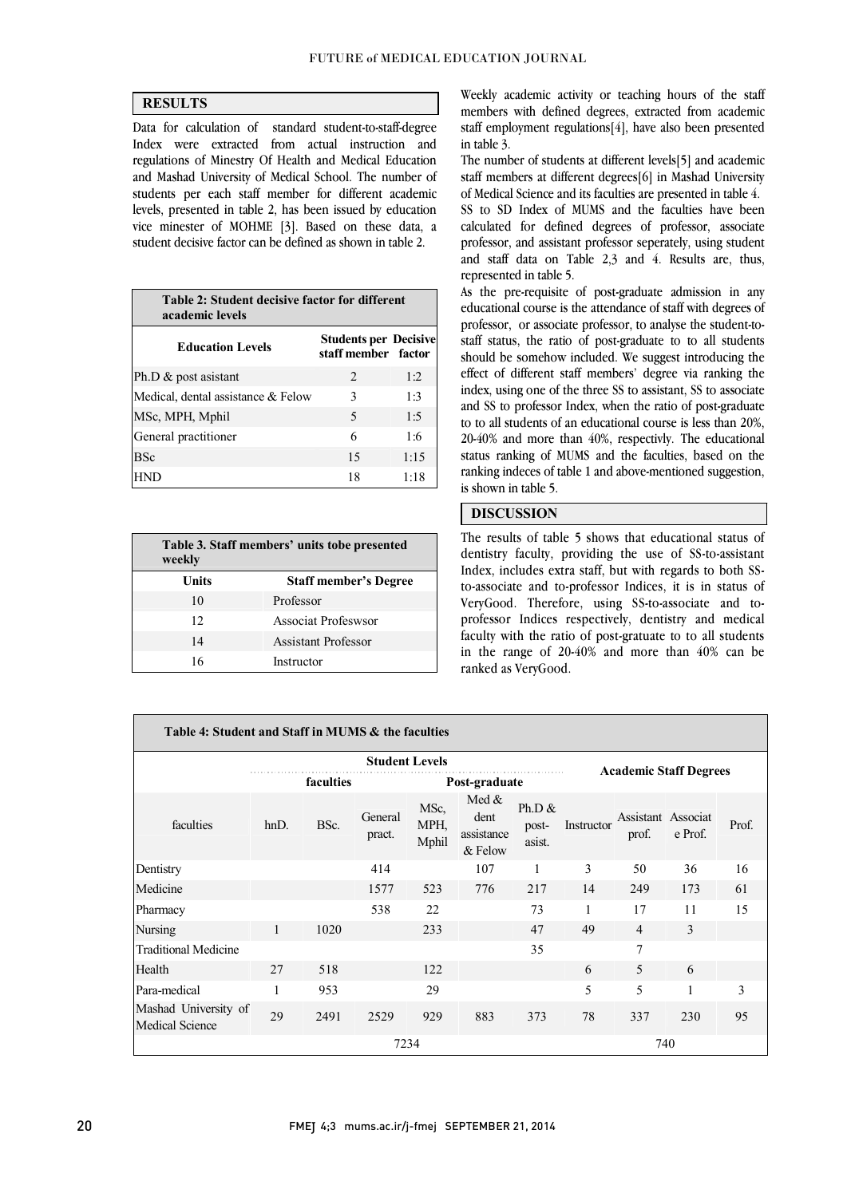ׇׇ֬ ֦

## **RESULTS**

 Data for calculation of standard student-to-staff-degree Index were extracted from actual instruction and and Mashad University of Medical School. The number of students per each staff member for different academic levels, presented in table 2, has been issued by education vice minester of MOHME [3]. Based on these data, a regulations of Minestry Of Health and Medical Education student decisive factor can be defined as shown in table 2.

| Table 2: Student decisive factor for different<br>academic levels |                                                     |      |  |  |  |  |
|-------------------------------------------------------------------|-----------------------------------------------------|------|--|--|--|--|
| <b>Education Levels</b>                                           | <b>Students per Decisive</b><br>staff member factor |      |  |  |  |  |
| Ph.D $\&$ post asistant                                           | $\mathfrak{D}_{\mathfrak{p}}$                       | 1:2  |  |  |  |  |
| Medical, dental assistance & Felow                                | 3                                                   | 1:3  |  |  |  |  |
| MSc, MPH, Mphil                                                   | 5                                                   | 1:5  |  |  |  |  |
| General practitioner                                              | 6                                                   | 1:6  |  |  |  |  |
| <b>BSc</b>                                                        | 15                                                  | 1:15 |  |  |  |  |
| HND                                                               | 18                                                  | 1:18 |  |  |  |  |

| Table 3. Staff members' units tobe presented<br>weekly |                              |  |  |  |  |
|--------------------------------------------------------|------------------------------|--|--|--|--|
| Units                                                  | <b>Staff member's Degree</b> |  |  |  |  |
| 10                                                     | Professor                    |  |  |  |  |
| 12                                                     | Associat Profeswsor          |  |  |  |  |
| 14                                                     | <b>Assistant Professor</b>   |  |  |  |  |
| 16                                                     | Instructor                   |  |  |  |  |

 Weekly academic activity or teaching hours of the staff members with defined degrees, extracted from academic staff employment regulations[4], have also been presented in table 3.

 The number of students at different levels[5] and academic staff members at different degrees[6] in Mashad University of Medical Science and its faculties are presented in table 4.

 SS to SD Index of MUMS and the faculties have been calculated for defined degrees of professor, associate and staff data on Table 2,3 and 4. Results are, thus, professor, and assistant professor seperately, using student represented in table 5.

 As the pre-requisite of post-graduate admission in any professor, or associate professor, to analyse the student-to- staff status, the ratio of post-graduate to to all students should be somehow included. We suggest introducing the effect of different staff members' degree via ranking the index, using one of the three SS to assistant, SS to associate to to all students of an educational course is less than 20%, 20-40% and more than 40%, respectivly. The educational status ranking of MUMS and the faculties, based on the ranking indeces of table 1 and above-mentioned suggestion,  $\overline{a}$ educational course is the attendance of staff with degrees of and SS to professor Index, when the ratio of post-graduate is shown in table 5.

## DISCUSSION

 The results of table 5 shows that educational status of Index, includes extra staff, but with regards to both SS- to-associate and to-professor Indices, it is in status of VeryGood. Therefore, using SS-to-associate and to- professor Indices respectively, dentistry and medical in the range of 20-40% and more than 40% can be dentistry faculty, providing the use of SS-to-assistant faculty with the ratio of post-gratuate to to all students ranked as VeryGood.

 $\overline{a}$ 

| Table 4: Student and Staff in MUMS & the faculties |              |           |                       |                       |                                          |                               |            |                             |              |       |
|----------------------------------------------------|--------------|-----------|-----------------------|-----------------------|------------------------------------------|-------------------------------|------------|-----------------------------|--------------|-------|
|                                                    |              |           | <b>Student Levels</b> |                       |                                          |                               |            |                             |              |       |
|                                                    |              | faculties | Post-graduate         |                       |                                          | <b>Academic Staff Degrees</b> |            |                             |              |       |
| faculties                                          | $h$ nD.      | BSc.      | General<br>pract.     | MSc,<br>MPH,<br>Mphil | Med $&$<br>dent<br>assistance<br>& Felow | Ph.D $\&$<br>post-<br>asist.  | Instructor | Assistant Associat<br>prof. | e Prof.      | Prof. |
| Dentistry                                          |              |           | 414                   |                       | 107                                      | 1                             | 3          | 50                          | 36           | 16    |
| Medicine                                           |              |           | 1577                  | 523                   | 776                                      | 217                           | 14         | 249                         | 173          | 61    |
| Pharmacy                                           |              |           | 538                   | 22                    |                                          | 73                            | 1          | 17                          | 11           | 15    |
| Nursing                                            | 1            | 1020      |                       | 233                   |                                          | 47                            | 49         | $\overline{4}$              | 3            |       |
| <b>Traditional Medicine</b>                        |              |           |                       |                       |                                          | 35                            |            | $\overline{7}$              |              |       |
| Health                                             | 27           | 518       |                       | 122                   |                                          |                               | 6          | 5                           | 6            |       |
| Para-medical                                       | $\mathbf{1}$ | 953       |                       | 29                    |                                          |                               | 5          | 5                           | $\mathbf{1}$ | 3     |
| Mashad University of<br><b>Medical Science</b>     | 29           | 2491      | 2529                  | 929                   | 883                                      | 373                           | 78         | 337                         | 230          | 95    |
|                                                    |              |           | 7234                  |                       |                                          |                               |            | 740                         |              |       |